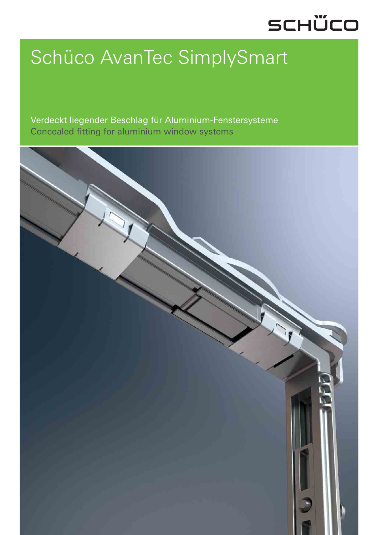## SCHÜCO

# Schüco AvanTec SimplySmart

Verdeckt liegender Beschlag für Aluminium-Fenstersysteme Concealed fitting for aluminium window systems

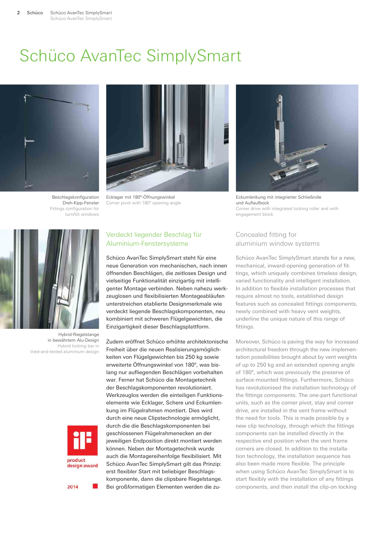### Schüco AvanTec SimplySmart



Beschlagskonfiguration Dreh-Kipp-Fenster Fittings configuration for turn/tilt windows



Ecklager mit 180°-Öffnungswinkel Corner pivot with 180° opening angle



Eckumlenkung mit integrierter Schließrolle und Auflaufbock Corner drive with integrated locking roller and with engagement block



Hybrid-Riegelstange in bewährtem Alu-Design Hybrid locking bar in tried-and-tested aluminium design



2014

#### Verdeckt liegender Beschlag für Aluminium-Fenstersysteme

Schüco AvanTec SimplySmart steht für eine neue Generation von mechanischen, nach innen öffnenden Beschlägen, die zeitloses Design und vielseitige Funktionalität einzigartig mit intelligenter Montage verbinden. Neben nahezu werkzeuglosen und flexibilisierten Montageabläufen unterstreichen etablierte Designmerkmale wie verdeckt liegende Beschlagskomponenten, neu kombiniert mit schweren Flügelgewichten, die Einzigartigkeit dieser Beschlagsplattform.

Zudem eröffnet Schüco erhöhte architektonische Freiheit über die neuen Realisierungsmöglichkeiten von Flügelgewichten bis 250 kg sowie erweiterte Öffnungswinkel von 180º, was bislang nur aufliegenden Beschlägen vorbehalten war. Ferner hat Schüco die Montagetechnik der Beschlagskomponenten revolutioniert. Werkzeuglos werden die einteiligen Funktionselemente wie Ecklager, Schere und Eckumlenkung im Flügelrahmen montiert. Dies wird durch eine neue Clipstechnologie ermöglicht, durch die die Beschlagskomponenten bei geschlossenen Flügelrahmenecken an der jeweiligen Endposition direkt montiert werden können. Neben der Montagetechnik wurde auch die Montagereihenfolge flexibilisiert. Mit Schüco AvanTec SimplySmart gilt das Prinzip: erst flexibler Start mit beliebiger Beschlagskomponente, dann die clipsbare Riegelstange. Bei großformatigen Elementen werden die zu-

#### Concealed fitting for aluminium window systems

Schüco AvanTec SimplySmart stands for a new, mechanical, inward-opening generation of fittings, which uniquely combines timeless design, varied functionality and intelligent installation. In addition to flexible installation processes that require almost no tools, established design features such as concealed fittings components, newly combined with heavy vent weights, underline the unique nature of this range of fittings.

Moreover, Schüco is paving the way for increased architectural freedom through the new implementation possibilities brought about by vent weights of up to 250 kg and an extended opening angle of 180º, which was previously the preserve of surface-mounted fittings. Furthermore, Schüco has revolutionised the installation technology of the fittings components. The one-part functional units, such as the corner pivot, stay and corner drive, are installed in the vent frame without the need for tools. This is made possible by a new clip technology, through which the fittings components can be installed directly in the respective end position when the vent frame corners are closed. In addition to the installation technology, the installation sequence has also been made more flexible. The principle when using Schüco AvanTec SimplySmart is to start flexibly with the installation of any fittings components, and then install the clip-on locking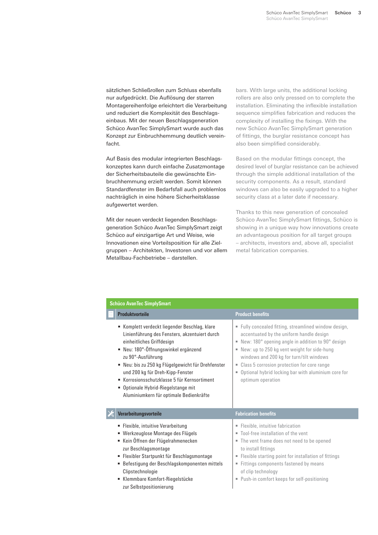sätzlichen Schließrollen zum Schluss ebenfalls nur aufgedrückt. Die Auflösung der starren Montagereihenfolge erleichtert die Verarbeitung und reduziert die Komplexität des Beschlagseinbaus. Mit der neuen Beschlagsgeneration Schüco AvanTec SimplySmart wurde auch das Konzept zur Einbruchhemmung deutlich vereinfacht.

Auf Basis des modular integrierten Beschlagskonzeptes kann durch einfache Zusatzmontage der Sicherheitsbauteile die gewünschte Einbruchhemmung erzielt werden. Somit können Standardfenster im Bedarfsfall auch problemlos nachträglich in eine höhere Sicherheitsklasse aufgewertet werden.

Mit der neuen verdeckt liegenden Beschlagsgeneration Schüco AvanTec SimplySmart zeigt Schüco auf einzigartige Art und Weise, wie Innovationen eine Vorteilsposition für alle Zielgruppen – Architekten, Investoren und vor allem Metallbau-Fachbetriebe – darstellen.

bars. With large units, the additional locking rollers are also only pressed on to complete the installation. Eliminating the inflexible installation sequence simplifies fabrication and reduces the complexity of installing the fixings. With the new Schüco AvanTec SimplySmart generation of fittings, the burglar resistance concept has also been simplified considerably.

Based on the modular fittings concept, the desired level of burglar resistance can be achieved through the simple additional installation of the security components. As a result, standard windows can also be easily upgraded to a higher security class at a later date if necessary.

Thanks to this new generation of concealed Schüco AvanTec SimplySmart fittings, Schüco is showing in a unique way how innovations create an advantageous position for all target groups – architects, investors and, above all, specialist metal fabrication companies.

| <b>Schüco AvanTec SimplySmart</b> |                                                                                                                                                                                                                                                                                                                                                                                                                      |                                                                                                                                                                                                                                                                                                                                                                                       |
|-----------------------------------|----------------------------------------------------------------------------------------------------------------------------------------------------------------------------------------------------------------------------------------------------------------------------------------------------------------------------------------------------------------------------------------------------------------------|---------------------------------------------------------------------------------------------------------------------------------------------------------------------------------------------------------------------------------------------------------------------------------------------------------------------------------------------------------------------------------------|
|                                   | <b>Produktvorteile</b>                                                                                                                                                                                                                                                                                                                                                                                               | <b>Product benefits</b>                                                                                                                                                                                                                                                                                                                                                               |
|                                   | Komplett verdeckt liegender Beschlag, klare<br>Linienführung des Fensters, akzentuiert durch<br>einheitliches Griffdesign<br>Neu: 180°-Öffnungswinkel ergänzend<br>zu 90°-Ausführung<br>Neu: bis zu 250 kg Flügelgewicht für Drehfenster<br>und 200 kg für Dreh-Kipp-Fenster<br>Korrosionsschutzklasse 5 für Kernsortiment<br>٠<br>Optionale Hybrid-Riegelstange mit<br>٠<br>Aluminiumkern für optimale Bedienkräfte | Fully concealed fitting, streamlined window design,<br>accentuated by the uniform handle design<br>New: 180° opening angle in addition to 90° design<br>New: up to 250 kg vent weight for side-hung<br>windows and 200 kg for turn/tilt windows<br>Class 5 corrosion protection for core range<br>۰.<br>Optional hybrid locking bar with aluminium core for<br>ш<br>optimum operation |
|                                   | Verarbeitungsvorteile                                                                                                                                                                                                                                                                                                                                                                                                | <b>Fabrication benefits</b>                                                                                                                                                                                                                                                                                                                                                           |
|                                   | • Flexible, intuitive Verarbeitung<br>Werkzeuglose Montage des Flügels<br>٠<br>Kein Öffnen der Flügelrahmenecken<br>zur Beschlagsmontage<br>· Flexibler Startpunkt für Beschlagsmontage<br>Befestigung der Beschlagskomponenten mittels<br>٠<br>Clipstechnologie<br>Klemmbare Komfort-Riegelstücke<br>zur Selbstpositionierung                                                                                       | Flexible, intuitive fabrication<br>" Tool-free installation of the vent<br>The vent frame does not need to be opened<br>to install fittings<br>" Flexible starting point for installation of fittings<br>Fittings components fastened by means<br>of clip technology<br>Push-in comfort keeps for self-positioning                                                                    |